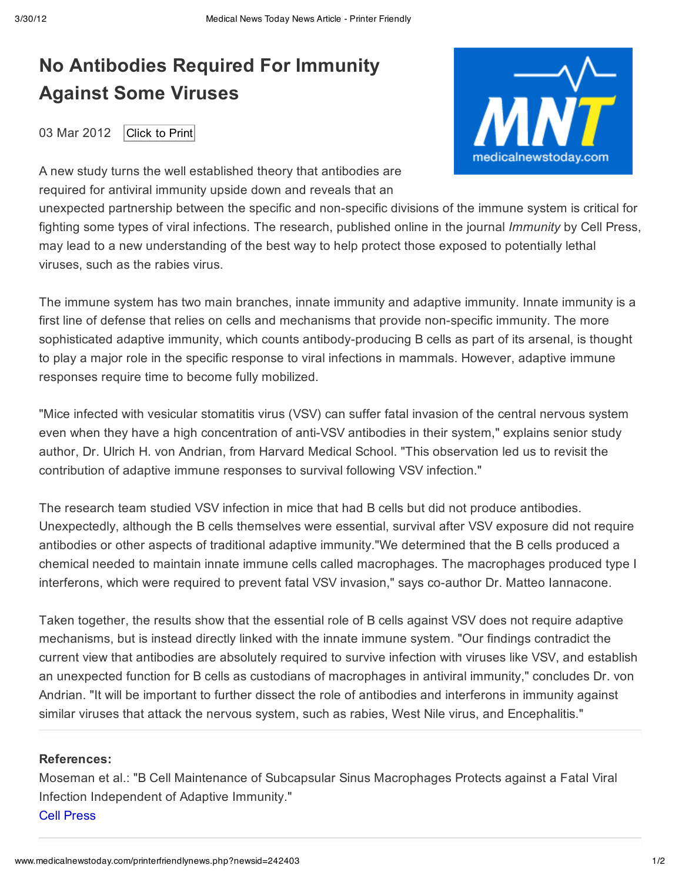# **No Antibodies Required For Immunity Against Some Viruses**

03 Mar 2012 Click to Print



A new study turns the well established theory that antibodies are required for antiviral immunity upside down and reveals that an

unexpected partnership between the specific and non-specific divisions of the immune system is critical for fighting some types of viral infections. The research, published online in the journal *Immunity* by Cell Press, may lead to a new understanding of the best way to help protect those exposed to potentially lethal viruses, such as the rabies virus.

The immune system has two main branches, innate immunity and adaptive immunity. Innate immunity is a first line of defense that relies on cells and mechanisms that provide non-specific immunity. The more sophisticated adaptive immunity, which counts antibody-producing B cells as part of its arsenal, is thought to play a major role in the specific response to viral infections in mammals. However, adaptive immune responses require time to become fully mobilized.

"Mice infected with vesicular stomatitis virus (VSV) can suffer fatal invasion of the central nervous system even when they have a high concentration of anti-VSV antibodies in their system," explains senior study author, Dr. Ulrich H. von Andrian, from Harvard Medical School. "This observation led us to revisit the contribution of adaptive immune responses to survival following VSV infection."

The research team studied VSV infection in mice that had B cells but did not produce antibodies. Unexpectedly, although the B cells themselves were essential, survival after VSV exposure did not require antibodies or other aspects of traditional adaptive immunity."We determined that the B cells produced a chemical needed to maintain innate immune cells called macrophages. The macrophages produced type I interferons, which were required to prevent fatal VSV invasion," says co-author Dr. Matteo Iannacone.

Taken together, the results show that the essential role of B cells against VSV does not require adaptive mechanisms, but is instead directly linked with the innate immune system. "Our findings contradict the current view that antibodies are absolutely required to survive infection with viruses like VSV, and establish an unexpected function for B cells as custodians of macrophages in antiviral immunity," concludes Dr. von Andrian. "It will be important to further dissect the role of antibodies and interferons in immunity against similar viruses that attack the nervous system, such as rabies, West Nile virus, and Encephalitis."

#### **References:**

Moseman et al.: "B Cell Maintenance of Subcapsular Sinus Macrophages Protects against a Fatal Viral Infection Independent of Adaptive Immunity." Cell Press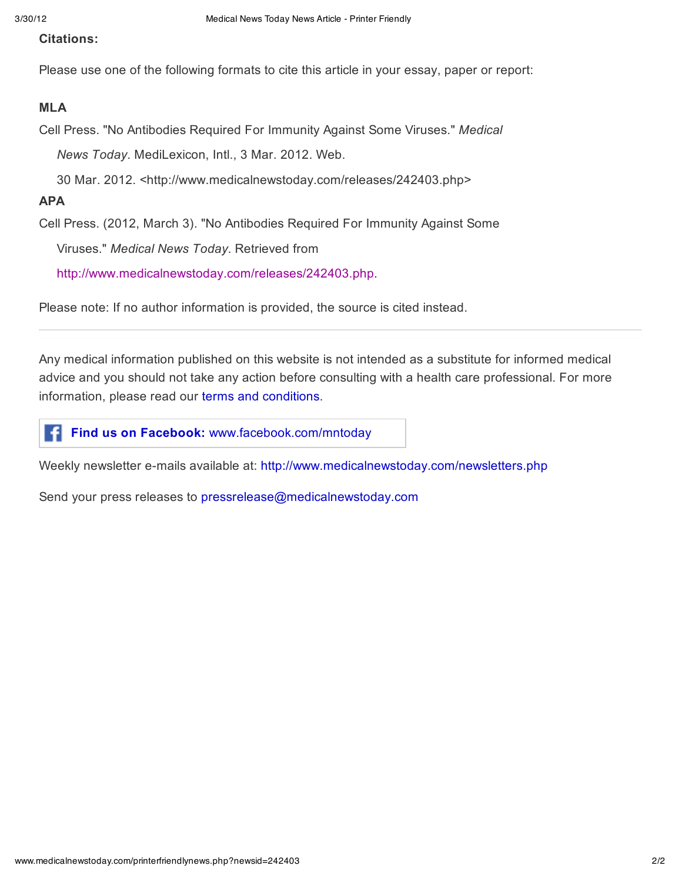**Citations:**

Please use one of the following formats to cite this article in your essay, paper or report:

#### **MLA**

Cell Press. "No Antibodies Required For Immunity Against Some Viruses." *Medical*

*News Today*. MediLexicon, Intl., 3 Mar. 2012. Web.

30 Mar. 2012. <http://www.medicalnewstoday.com/releases/242403.php>

#### **APA**

Cell Press. (2012, March 3). "No Antibodies Required For Immunity Against Some

Viruses." *Medical News Today*. Retrieved from

http://www.medicalnewstoday.com/releases/242403.php.

Please note: If no author information is provided, the source is cited instead.

Any medical information published on this website is not intended as a substitute for informed medical advice and you should not take any action before consulting with a health care professional. For more information, please read our terms and conditions.

æ **Find us on Facebook:** www.facebook.com/mntoday

Weekly newsletter e-mails available at: http://www.medicalnewstoday.com/newsletters.php

Send your press releases to pressrelease@medicalnewstoday.com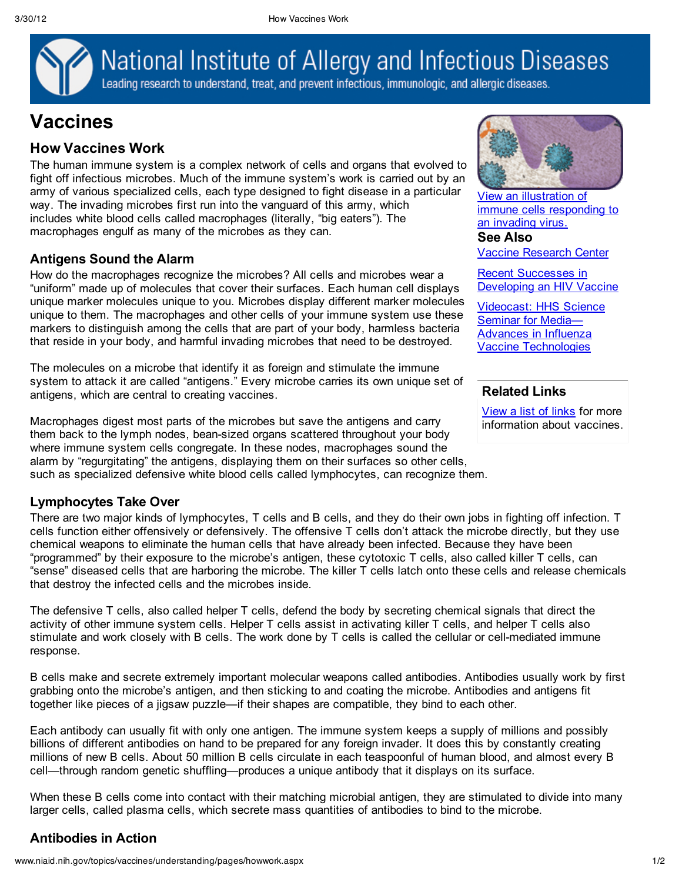National Institute of Allergy and Infectious Diseases

Leading research to understand, treat, and prevent infectious, immunologic, and allergic diseases.

# **Vaccines**

# **How Vaccines Work**

The human immune system is a complex network of cells and organs that evolved to fight off infectious microbes. Much of the immune system's work is carried out by an army of various specialized cells, each type designed to fight disease in a particular way. The invading microbes first run into the vanguard of this army, which includes white blood cells called macrophages (literally, "big eaters"). The macrophages engulf as many of the microbes as they can.

#### **Antigens Sound the Alarm**

How do the macrophages recognize the microbes? All cells and microbes wear a "uniform" made up of molecules that cover their surfaces. Each human cell displays unique marker molecules unique to you. Microbes display different marker molecules unique to them. The macrophages and other cells of your immune system use these markers to distinguish among the cells that are part of your body, harmless bacteria that reside in your body, and harmful invading microbes that need to be destroyed.

The molecules on a microbe that identify it as foreign and stimulate the immune system to attack it are called "antigens." Every microbe carries its own unique set of antigens, which are central to creating vaccines.

Macrophages digest most parts of the microbes but save the antigens and carry them back to the lymph nodes, bean-sized organs scattered throughout your body where immune system cells congregate. In these nodes, macrophages sound the alarm by "regurgitating" the antigens, displaying them on their surfaces so other cells, such as specialized defensive white blood cells called lymphocytes, can recognize them.

#### **Lymphocytes Take Over**

There are two major kinds of lymphocytes, T cells and B cells, and they do their own jobs in fighting off infection. T cells function either offensively or defensively. The offensive T cells don't attack the microbe directly, but they use chemical weapons to eliminate the human cells that have already been infected. Because they have been "programmed" by their exposure to the microbe's antigen, these cytotoxic T cells, also called killer T cells, can "sense" diseased cells that are harboring the microbe. The killer T cells latch onto these cells and release chemicals that destroy the infected cells and the microbes inside.

The defensive T cells, also called helper T cells, defend the body by secreting chemical signals that direct the activity of other immune system cells. Helper T cells assist in activating killer T cells, and helper T cells also stimulate and work closely with B cells. The work done by T cells is called the cellular or cell-mediated immune response.

B cells make and secrete extremely important molecular weapons called antibodies. Antibodies usually work by first grabbing onto the microbe's antigen, and then sticking to and coating the microbe. Antibodies and antigens fit together like pieces of a jigsaw puzzle—if their shapes are compatible, they bind to each other.

Each antibody can usually fit with only one antigen. The immune system keeps a supply of millions and possibly billions of different antibodies on hand to be prepared for any foreign invader. It does this by constantly creating millions of new B cells. About 50 million B cells circulate in each teaspoonful of human blood, and almost every B cell—through random genetic shuffling—produces a unique antibody that it displays on its surface.

When these B cells come into contact with their matching microbial antigen, they are stimulated to divide into many larger cells, called plasma cells, which secrete mass quantities of antibodies to bind to the microbe.

### **Antibodies in Action**



View an illustration of immune cells responding to an invading virus.

**See Also** Vaccine Research Center

Recent Successes in Developing an HIV Vaccine

Videocast: HHS Science Seminar for Media— Advances in Influenza Vaccine Technologies

# **Related Links**

View a list of links for more information about vaccines.